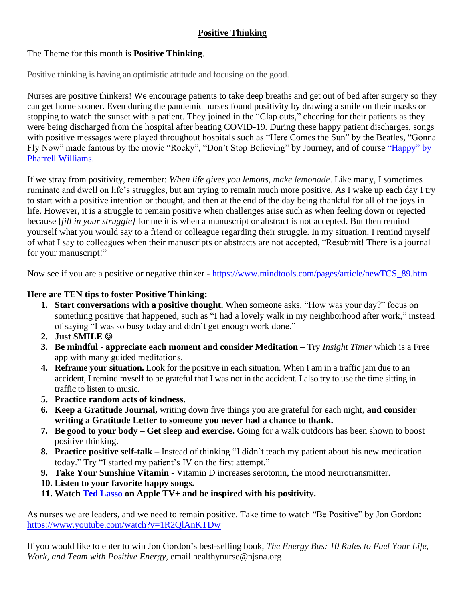## **Positive Thinking**

## The Theme for this month is **Positive Thinking**.

Positive thinking is having an optimistic attitude and focusing on the good.

Nurses are positive thinkers! We encourage patients to take deep breaths and get out of bed after surgery so they can get home sooner. Even during the pandemic nurses found positivity by drawing a smile on their masks or stopping to watch the sunset with a patient. They joined in the "Clap outs," cheering for their patients as they were being discharged from the hospital after beating COVID-19. During these happy patient discharges, songs with positive messages were played throughout hospitals such as "Here Comes the Sun" by the Beatles, "Gonna Fly Now" made famous by the movie "Rocky", "Don't Stop Believing" by Journey, and of course "Happy" by [Pharrell Williams.](https://www.youtube.com/watch?v=ZbZSe6N_BXs)

If we stray from positivity, remember: *When life gives you lemons, make lemonade*. Like many, I sometimes ruminate and dwell on life's struggles, but am trying to remain much more positive. As I wake up each day I try to start with a positive intention or thought, and then at the end of the day being thankful for all of the joys in life. However, it is a struggle to remain positive when challenges arise such as when feeling down or rejected because [*fill in your struggle]* for me it is when a manuscript or abstract is not accepted. But then remind yourself what you would say to a friend or colleague regarding their struggle. In my situation, I remind myself of what I say to colleagues when their manuscripts or abstracts are not accepted, "Resubmit! There is a journal for your manuscript!"

Now see if you are a positive or negative thinker - [https://www.mindtools.com/pages/article/newTCS\\_89.htm](https://www.mindtools.com/pages/article/newTCS_89.htm)

## **Here are TEN tips to foster Positive Thinking:**

- **1. Start conversations with a positive thought.** When someone asks, "How was your day?" focus on something positive that happened, such as "I had a lovely walk in my neighborhood after work," instead of saying "I was so busy today and didn't get enough work done."
- **2. Just SMILE** ☺
- **3. Be mindful - appreciate each moment and consider Meditation –** Try *[Insight](https://insighttimer.com/) Timer* which is a Free app with many guided meditations.
- **4. Reframe your situation.** Look for the positive in each situation. When I am in a traffic jam due to an accident, I remind myself to be grateful that I was not in the accident. I also try to use the time sitting in traffic to listen to music.
- **5. Practice random acts of kindness.**
- **6. Keep a Gratitude Journal,** writing down five things you are grateful for each night, **and consider writing a Gratitude Letter to someone you never had a chance to thank.**
- **7. Be good to your body – Get sleep and exercise.** Going for a walk outdoors has been shown to boost positive thinking.
- **8. Practice positive self-talk –** Instead of thinking "I didn't teach my patient about his new medication today." Try "I started my patient's IV on the first attempt."
- **9. Take Your Sunshine Vitamin** Vitamin D increases serotonin, the mood neurotransmitter.
- **10. Listen to your favorite happy songs.**
- **11. Watch [Ted Lasso](https://www.youtube.com/watch?v=3u7EIiohs6U) on Apple TV+ and be inspired with his positivity.**

As nurses we are leaders, and we need to remain positive. Take time to watch "Be Positive" by Jon Gordon: <https://www.youtube.com/watch?v=1R2QlAnKTDw>

If you would like to enter to win Jon Gordon's best-selling book, *The Energy Bus: 10 Rules to Fuel Your Life, Work, and Team with Positive Energy,* email healthynurse@njsna.org